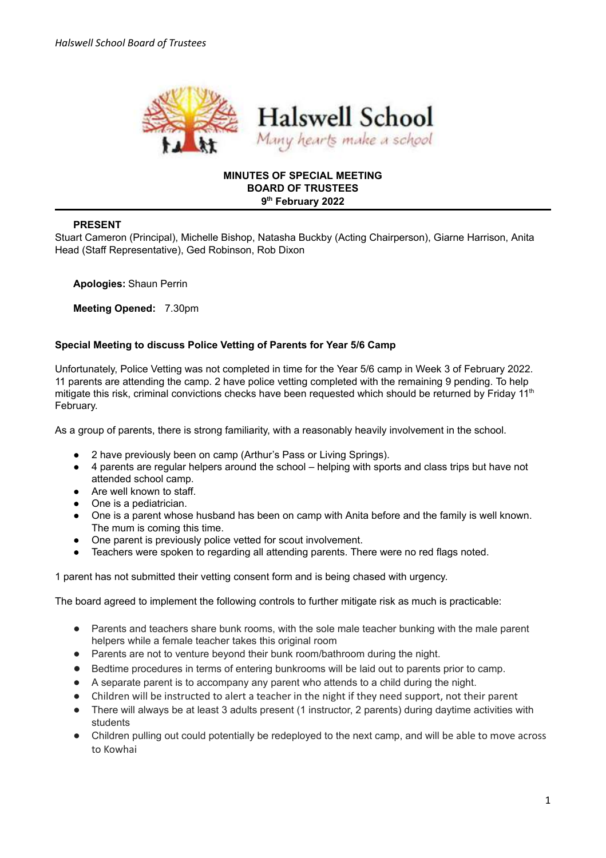

## **MINUTES OF SPECIAL MEETING BOARD OF TRUSTEES 9 th February 2022**

## **PRESENT**

Stuart Cameron (Principal), Michelle Bishop, Natasha Buckby (Acting Chairperson), Giarne Harrison, Anita Head (Staff Representative), Ged Robinson, Rob Dixon

**Apologies:** Shaun Perrin

**Meeting Opened:** 7.30pm

## **Special Meeting to discuss Police Vetting of Parents for Year 5/6 Camp**

Unfortunately, Police Vetting was not completed in time for the Year 5/6 camp in Week 3 of February 2022. 11 parents are attending the camp. 2 have police vetting completed with the remaining 9 pending. To help mitigate this risk, criminal convictions checks have been requested which should be returned by Friday 11<sup>th</sup> February.

As a group of parents, there is strong familiarity, with a reasonably heavily involvement in the school.

- 2 have previously been on camp (Arthur's Pass or Living Springs).
- 4 parents are regular helpers around the school helping with sports and class trips but have not attended school camp.
- Are well known to staff.
- One is a pediatrician.
- One is a parent whose husband has been on camp with Anita before and the family is well known. The mum is coming this time.
- One parent is previously police vetted for scout involvement.
- Teachers were spoken to regarding all attending parents. There were no red flags noted.

1 parent has not submitted their vetting consent form and is being chased with urgency.

The board agreed to implement the following controls to further mitigate risk as much is practicable:

- Parents and teachers share bunk rooms, with the sole male teacher bunking with the male parent helpers while a female teacher takes this original room
- Parents are not to venture beyond their bunk room/bathroom during the night.
- Bedtime procedures in terms of entering bunkrooms will be laid out to parents prior to camp.
- A separate parent is to accompany any parent who attends to a child during the night.
- Children will be instructed to alert a teacher in the night if they need support, not their parent
- There will always be at least 3 adults present (1 instructor, 2 parents) during daytime activities with students
- Children pulling out could potentially be redeployed to the next camp, and will be able to move across to Kowhai